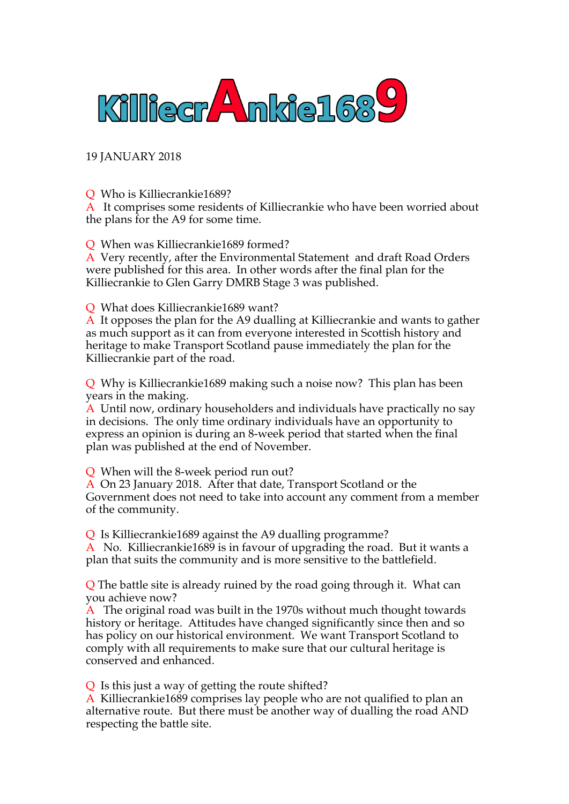

19 JANUARY 2018

Q Who is Killiecrankie1689?

A It comprises some residents of Killiecrankie who have been worried about the plans for the A9 for some time.

Q When was Killiecrankie1689 formed?

A Very recently, after the Environmental Statement and draft Road Orders were published for this area. In other words after the final plan for the Killiecrankie to Glen Garry DMRB Stage 3 was published.

Q What does Killiecrankie1689 want?

A It opposes the plan for the A9 dualling at Killiecrankie and wants to gather as much support as it can from everyone interested in Scottish history and heritage to make Transport Scotland pause immediately the plan for the Killiecrankie part of the road.

Q Why is Killiecrankie1689 making such a noise now? This plan has been years in the making.

A Until now, ordinary householders and individuals have practically no say in decisions. The only time ordinary individuals have an opportunity to express an opinion is during an 8-week period that started when the final plan was published at the end of November.

Q When will the 8-week period run out?

A On 23 January 2018. After that date, Transport Scotland or the Government does not need to take into account any comment from a member of the community.

Q Is Killiecrankie1689 against the A9 dualling programme?

A No. Killiecrankie1689 is in favour of upgrading the road. But it wants a plan that suits the community and is more sensitive to the battlefield.

Q The battle site is already ruined by the road going through it. What can you achieve now?

A The original road was built in the 1970s without much thought towards history or heritage. Attitudes have changed significantly since then and so has policy on our historical environment. We want Transport Scotland to comply with all requirements to make sure that our cultural heritage is conserved and enhanced.

Q Is this just a way of getting the route shifted?

A Killiecrankie1689 comprises lay people who are not qualified to plan an alternative route. But there must be another way of dualling the road AND respecting the battle site.